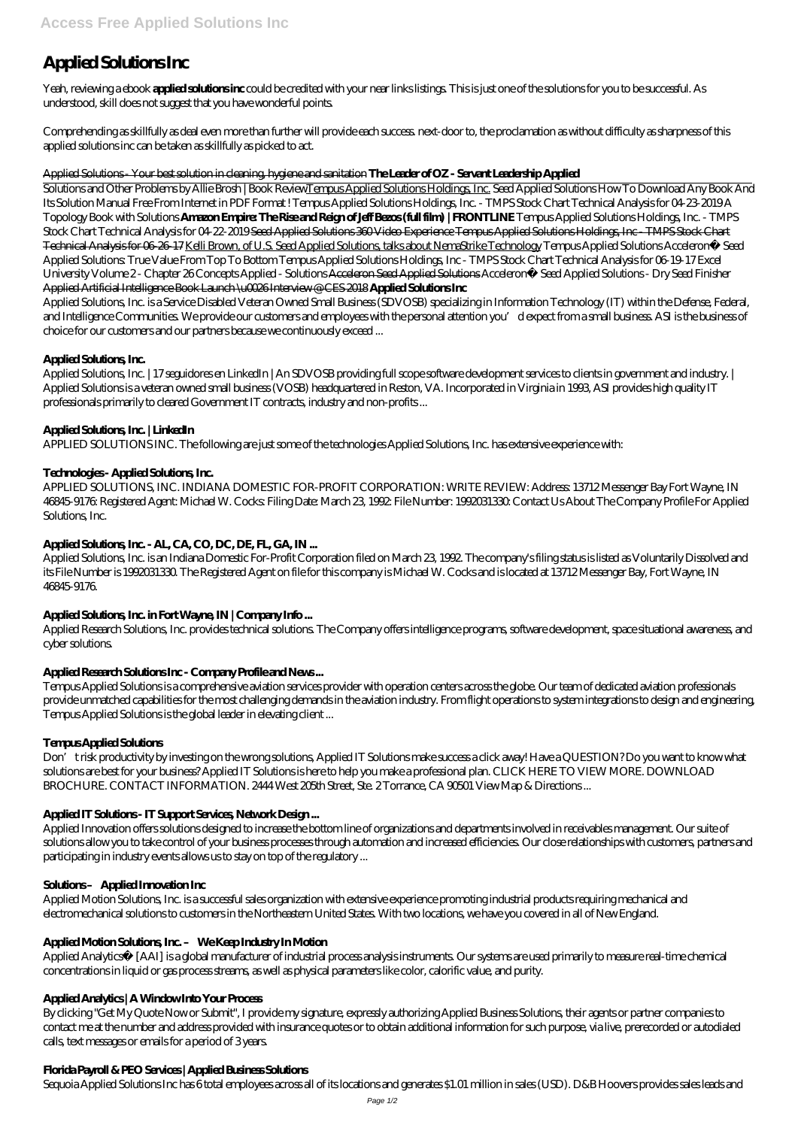# **Applied Solutions Inc**

Yeah, reviewing a ebook **applied solutions inc** could be credited with your near links listings. This is just one of the solutions for you to be successful. As understood, skill does not suggest that you have wonderful points.

Comprehending as skillfully as deal even more than further will provide each success. next-door to, the proclamation as without difficulty as sharpness of this applied solutions inc can be taken as skillfully as picked to act.

### Applied Solutions - Your best solution in cleaning, hygiene and sanitation **The Leader of OZ - Servant Leadership Applied**

Solutions and Other Problems by Allie Brosh | Book ReviewTempus Applied Solutions Holdings, Inc. *Seed Applied Solutions* How To Download Any Book And Its Solution Manual Free From Internet in PDF Format ! *Tempus Applied Solutions Holdings, Inc. - TMPS Stock Chart Technical Analysis for 04-23-2019* A Topology Book with Solutions **Amazon Empire: The Rise and Reign of Jeff Bezos (full film) | FRONTLINE** Tempus Applied Solutions Holdings, Inc. - TMPS Stock Chart Technical Analysis for 04-22-2019 Seed Applied Solutions 360 Video Experience Tempus Applied Solutions Holdings, Inc - TMPS Stock Chart Technical Analysis for 06-26-17 Kelli Brown, of U.S. Seed Applied Solutions, talks about NemaStrike Technology *Tempus Applied Solutions* Acceleron® Seed Applied Solutions: True Value From Top To Bottom Tempus Applied Solutions Holdings, Inc - TMPS Stock Chart Technical Analysis for 06-19-17 *Excel University Volume 2 - Chapter 26 Concepts Applied - Solutions* Acceleron Seed Applied Solutions *Acceleron® Seed Applied Solutions - Dry Seed Finisher* Applied Artificial Intelligence Book Launch \u0026 Interview @ CES 2018 **Applied Solutions Inc**

APPLIED SOLUTIONS, INC. INDIANA DOMESTIC FOR-PROFIT CORPORATION: WRITE REVIEW: Address: 13712 Messenger Bay Fort Wayne, IN 46845-9176: Registered Agent: Michael W. Cocks: Filing Date: March 23, 1992: File Number: 1992031330: Contact Us About The Company Profile For Applied Solutions, Inc.

Applied Solutions, Inc. is a Service Disabled Veteran Owned Small Business (SDVOSB) specializing in Information Technology (IT) within the Defense, Federal, and Intelligence Communities. We provide our customers and employees with the personal attention you'd expect from a small business. ASI is the business of choice for our customers and our partners because we continuously exceed ...

# **Applied Solutions, Inc.**

Applied Solutions, Inc. | 17 seguidores en LinkedIn | An SDVOSB providing full scope software development services to clients in government and industry. | Applied Solutions is a veteran owned small business (VOSB) headquartered in Reston, VA. Incorporated in Virginia in 1993, ASI provides high quality IT professionals primarily to cleared Government IT contracts, industry and non-profits ...

# **Applied Solutions, Inc. | LinkedIn**

APPLIED SOLUTIONS INC. The following are just some of the technologies Applied Solutions, Inc. has extensive experience with:

# **Technologies - Applied Solutions, Inc.**

Applied Analytics™ [AAI] is a global manufacturer of industrial process analysis instruments. Our systems are used primarily to measure real-time chemical concentrations in liquid or gas process streams, as well as physical parameters like color, calorific value, and purity.

# **Applied Solutions, Inc. - AL, CA, CO, DC, DE, FL, GA, IN ...**

Applied Solutions, Inc. is an Indiana Domestic For-Profit Corporation filed on March 23, 1992. The company's filing status is listed as Voluntarily Dissolved and its File Number is 1992031330. The Registered Agent on file for this company is Michael W. Cocks and is located at 13712 Messenger Bay, Fort Wayne, IN 46845-9176.

# **Applied Solutions, Inc. in Fort Wayne, IN | Company Info ...**

Applied Research Solutions, Inc. provides technical solutions. The Company offers intelligence programs, software development, space situational awareness, and cyber solutions.

# **Applied Research Solutions Inc - Company Profile and News ...**

Tempus Applied Solutions is a comprehensive aviation services provider with operation centers across the globe. Our team of dedicated aviation professionals provide unmatched capabilities for the most challenging demands in the aviation industry. From flight operations to system integrations to design and engineering, Tempus Applied Solutions is the global leader in elevating client ...

# **Tempus Applied Solutions**

Don't risk productivity by investing on the wrong solutions, Applied IT Solutions make success a click away! Have a QUESTION? Do you want to know what solutions are best for your business? Applied IT Solutions is here to help you make a professional plan. CLICK HERE TO VIEW MORE. DOWNLOAD BROCHURE. CONTACT INFORMATION. 2444 West 205th Street, Ste. 2 Torrance, CA 90501 View Map & Directions...

# **Applied IT Solutions - IT Support Services, Network Design ...**

Applied Innovation offers solutions designed to increase the bottom line of organizations and departments involved in receivables management. Our suite of solutions allow you to take control of your business processes through automation and increased efficiencies. Our close relationships with customers, partners and

participating in industry events allows us to stay on top of the regulatory ...

#### **Solutions – Applied Innovation Inc**

Applied Motion Solutions, Inc. is a successful sales organization with extensive experience promoting industrial products requiring mechanical and electromechanical solutions to customers in the Northeastern United States. With two locations, we have you covered in all of New England.

#### **Applied Motion Solutions, Inc. – We Keep Industry In Motion**

#### **Applied Analytics | A Window Into Your Process**

By clicking "Get My Quote Now or Submit", I provide my signature, expressly authorizing Applied Business Solutions, their agents or partner companies to contact me at the number and address provided with insurance quotes or to obtain additional information for such purpose, via live, prerecorded or autodialed calls, text messages or emails for a period of 3 years.

### **Florida Payroll & PEO Services | Applied Business Solutions**

Sequoia Applied Solutions Inc has 6 total employees across all of its locations and generates \$1.01 million in sales (USD). D&B Hoovers provides sales leads and